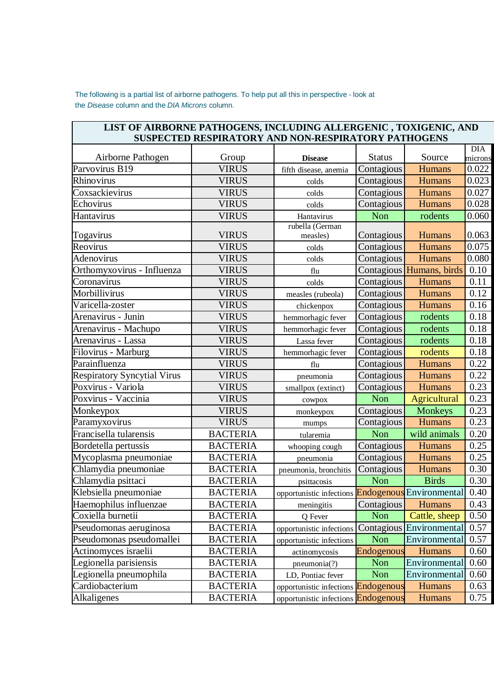The following is a partial list of airborne pathogens. To help put all this in perspective - look at the *Disease* column and the *DIA Microns* column.

| LIST OF AIRBORNE PATHOGENS, INCLUDING ALLERGENIC, TOXIGENIC, AND |                       | SUSPECTED RESPIRATORY AND NON-RESPIRATORY PATHOGENS    |                   |                          |                  |
|------------------------------------------------------------------|-----------------------|--------------------------------------------------------|-------------------|--------------------------|------------------|
|                                                                  |                       |                                                        |                   |                          | <b>DIA</b>       |
| Airborne Pathogen<br>Parvovirus B19                              | Group<br><b>VIRUS</b> | <b>Disease</b>                                         | <b>Status</b>     | Source<br>Humans         | microns<br>0.022 |
|                                                                  |                       | fifth disease, anemia                                  | Contagious        |                          |                  |
| Rhinovirus                                                       | <b>VIRUS</b>          | colds                                                  | Contagious        | <b>Humans</b>            | 0.023            |
| Coxsackievirus                                                   | <b>VIRUS</b>          | colds                                                  | Contagious        | <b>Humans</b>            | 0.027            |
| Echovirus                                                        | <b>VIRUS</b>          | colds                                                  | Contagious        | <b>Humans</b>            | 0.028            |
| Hantavirus                                                       | <b>VIRUS</b>          | Hantavirus                                             | Non               | rodents                  | 0.060            |
| Togavirus                                                        | <b>VIRUS</b>          | rubella (German<br>measles)                            | Contagious        | Humans                   | 0.063            |
| Reovirus                                                         | <b>VIRUS</b>          | colds                                                  | Contagious        | Humans                   | 0.075            |
| Adenovirus                                                       | <b>VIRUS</b>          | colds                                                  | Contagious        | Humans                   | 0.080            |
| Orthomyxovirus - Influenza                                       | <b>VIRUS</b>          | flu                                                    |                   | Contagious Humans, birds | 0.10             |
| Coronavirus                                                      | <b>VIRUS</b>          | colds                                                  | Contagious        | <b>Humans</b>            | 0.11             |
| Morbillivirus                                                    | <b>VIRUS</b>          | measles (rubeola)                                      | Contagious        | Humans                   | 0.12             |
| Varicella-zoster                                                 | <b>VIRUS</b>          | chickenpox                                             | Contagious        | Humans                   | 0.16             |
| Arenavirus - Junin                                               | <b>VIRUS</b>          | hemmorhagic fever                                      | Contagious        | rodents                  | 0.18             |
| Arenavirus - Machupo                                             | <b>VIRUS</b>          | hemmorhagic fever                                      | Contagious        | rodents                  | 0.18             |
| Arenavirus - Lassa                                               | <b>VIRUS</b>          | Lassa fever                                            | Contagious        | rodents                  | 0.18             |
| Filovirus - Marburg                                              | <b>VIRUS</b>          | hemmorhagic fever                                      | Contagious        | rodents                  | 0.18             |
| Parainfluenza                                                    | <b>VIRUS</b>          | flu                                                    | Contagious        | Humans                   | 0.22             |
| <b>Respiratory Syncytial Virus</b>                               | <b>VIRUS</b>          | pneumonia                                              | Contagious        | Humans                   | 0.22             |
| Poxvirus - Variola                                               | <b>VIRUS</b>          | smallpox (extinct)                                     | Contagious        | <b>Humans</b>            | 0.23             |
| Poxvirus - Vaccinia                                              | <b>VIRUS</b>          | cowpox                                                 | Non               | Agricultural             | 0.23             |
| Monkeypox                                                        | <b>VIRUS</b>          | monkeypox                                              | Contagious        | <b>Monkeys</b>           | 0.23             |
| Paramyxovirus                                                    | <b>VIRUS</b>          | mumps                                                  | Contagious        | Humans                   | 0.23             |
| Francisella tularensis                                           | <b>BACTERIA</b>       | tularemia                                              | Non               | wild animals             | 0.20             |
| Bordetella pertussis                                             | <b>BACTERIA</b>       | whooping cough                                         | Contagious        | Humans                   | 0.25             |
| Mycoplasma pneumoniae                                            | <b>BACTERIA</b>       | pneumonia                                              | Contagious        | Humans                   | 0.25             |
| Chlamydia pneumoniae                                             | <b>BACTERIA</b>       | pneumonia, bronchitis                                  | Contagious        | <b>Humans</b>            | 0.30             |
| Chlamydia psittaci                                               | <b>BACTERIA</b>       | psittacosis                                            | Non               | <b>Birds</b>             | 0.30             |
| Klebsiella pneumoniae                                            | <b>BACTERIA</b>       | opportunistic infections Endogenous Environmental 0.40 |                   |                          |                  |
| Haemophilus influenzae                                           | <b>BACTERIA</b>       | meningitis                                             | <b>Contagious</b> | Humans                   | 0.43             |
| Coxiella burnetii                                                | <b>BACTERIA</b>       | Q Fever                                                | <b>Non</b>        | Cattle, sheep            | 0.50             |
| Pseudomonas aeruginosa                                           | <b>BACTERIA</b>       | opportunistic infections                               |                   | Contagious Environmental | 0.57             |
| Pseudomonas pseudomallei                                         | <b>BACTERIA</b>       | opportunistic infections                               | Non               | Environmental            | 0.57             |
| Actinomyces israelii                                             | <b>BACTERIA</b>       | actinomycosis                                          | Endogenous        | Humans                   | 0.60             |
| Legionella parisiensis                                           | <b>BACTERIA</b>       | pneumonia(?)                                           | Non               | Environmental            | 0.60             |
| Legionella pneumophila                                           | <b>BACTERIA</b>       | LD, Pontiac fever                                      | Non               | Environmental            | 0.60             |
| Cardiobacterium                                                  | <b>BACTERIA</b>       | opportunistic infections Endogenous                    |                   | Humans                   | 0.63             |
| Alkaligenes                                                      | <b>BACTERIA</b>       | opportunistic infections Endogenous                    |                   | Humans                   | 0.75             |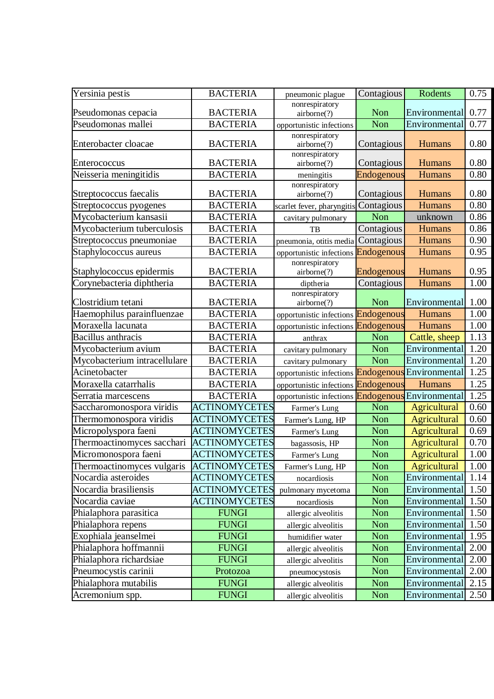| Yersinia pestis              | <b>BACTERIA</b>      | pneumonic plague                    | Contagious | Rodents             | 0.75 |
|------------------------------|----------------------|-------------------------------------|------------|---------------------|------|
|                              |                      | nonrespiratory                      |            |                     |      |
| Pseudomonas cepacia          | <b>BACTERIA</b>      | airborne(?)                         | <b>Non</b> | Environmental       | 0.77 |
| Pseudomonas mallei           | <b>BACTERIA</b>      | opportunistic infections            | Non        | Environmental       | 0.77 |
| Enterobacter cloacae         | <b>BACTERIA</b>      | nonrespiratory<br>airborne(?)       | Contagious | Humans              | 0.80 |
| Enterococcus                 | <b>BACTERIA</b>      | nonrespiratory<br>airborne(?)       | Contagious | Humans              | 0.80 |
| Neisseria meningitidis       | <b>BACTERIA</b>      | meningitis                          | Endogenous | Humans              | 0.80 |
| Streptococcus faecalis       | <b>BACTERIA</b>      | nonrespiratory<br>airborne(?)       | Contagious | Humans              | 0.80 |
| Streptococcus pyogenes       | <b>BACTERIA</b>      | scarlet fever, pharyngitis          | Contagious | <b>Humans</b>       | 0.80 |
| Mycobacterium kansasii       | <b>BACTERIA</b>      | cavitary pulmonary                  | Non        | unknown             | 0.86 |
| Mycobacterium tuberculosis   | <b>BACTERIA</b>      | TB                                  | Contagious | Humans              | 0.86 |
| Streptococcus pneumoniae     | <b>BACTERIA</b>      | pneumonia, otitis media Contagious  |            | Humans              | 0.90 |
| Staphylococcus aureus        | <b>BACTERIA</b>      | opportunistic infections            | Endogenous | Humans              | 0.95 |
|                              |                      | nonrespiratory                      |            |                     |      |
| Staphylococcus epidermis     | <b>BACTERIA</b>      | airborne(?)                         | Endogenous | Humans              | 0.95 |
| Corynebacteria diphtheria    | <b>BACTERIA</b>      | diptheria                           | Contagious | Humans              | 1.00 |
| Clostridium tetani           | <b>BACTERIA</b>      | nonrespiratory<br>airborne(?)       | <b>Non</b> | Environmental       | 1.00 |
| Haemophilus parainfluenzae   | <b>BACTERIA</b>      | opportunistic infections            | Endogenous | Humans              | 1.00 |
| Moraxella lacunata           | <b>BACTERIA</b>      | opportunistic infections            | Endogenous | Humans              | 1.00 |
| <b>Bacillus</b> anthracis    | <b>BACTERIA</b>      | anthrax                             | Non        | Cattle, sheep       | 1.13 |
| Mycobacterium avium          | <b>BACTERIA</b>      | cavitary pulmonary                  | Non        | Environmental       | 1.20 |
| Mycobacterium intracellulare | <b>BACTERIA</b>      | cavitary pulmonary                  | Non        | Environmental       | 1.20 |
| Acinetobacter                | <b>BACTERIA</b>      | opportunistic infections            | Endogenous | Environmental       | 1.25 |
| Moraxella catarrhalis        | <b>BACTERIA</b>      | opportunistic infections Endogenous |            | Humans              | 1.25 |
| Serratia marcescens          | <b>BACTERIA</b>      | opportunistic infections            | Endogenous | Environmental       | 1.25 |
| Saccharomonospora viridis    | <b>ACTINOMYCETES</b> | Farmer's Lung                       | Non        | Agricultural        | 0.60 |
| Thermomonospora viridis      | <b>ACTINOMYCETES</b> | Farmer's Lung, HP                   | Non        | Agricultural        | 0.60 |
| Micropolyspora faeni         | <b>ACTINOMYCETES</b> | Farmer's Lung                       | Non        | <b>Agricultural</b> | 0.69 |
| Thermoactinomyces sacchari   | <b>ACTINOMYCETES</b> | bagassosis, HP                      | Non        | Agricultural        | 0.70 |
| Micromonospora faeni         | <b>ACTINOMYCETES</b> | Farmer's Lung                       | Non        | <b>Agricultural</b> | 1.00 |
| Thermoactinomyces vulgaris   | <b>ACTINOMYCETES</b> | Farmer's Lung, HP                   | Non        | Agricultural        | 1.00 |
| Nocardia asteroides          | <b>ACTINOMYCETES</b> | nocardiosis                         | Non        | Environmental       | 1.14 |
| Nocardia brasiliensis        | <b>ACTINOMYCETES</b> | pulmonary mycetoma                  | Non        | Environmental       | 1.50 |
| Nocardia caviae              | <b>ACTINOMYCETES</b> | nocardiosis                         | Non        | Environmental       | 1.50 |
| Phialaphora parasitica       | <b>FUNGI</b>         | allergic alveolitis                 | Non        | Environmental       | 1.50 |
| Phialaphora repens           | <b>FUNGI</b>         | allergic alveolitis                 | Non        | Environmental       | 1.50 |
| Exophiala jeanselmei         | <b>FUNGI</b>         | humidifier water                    | Non        | Environmental       | 1.95 |
| Phialaphora hoffmannii       | <b>FUNGI</b>         | allergic alveolitis                 | Non        | Environmental       | 2.00 |
| Phialaphora richardsiae      | <b>FUNGI</b>         | allergic alveolitis                 | Non        | Environmental       | 2.00 |
| Pneumocystis carinii         | Protozoa             | pneumocystosis                      | Non        | Environmental       | 2.00 |
| Phialaphora mutabilis        | <b>FUNGI</b>         | allergic alveolitis                 | Non        | Environmental       | 2.15 |
| Acremonium spp.              | <b>FUNGI</b>         | allergic alveolitis                 | Non        | Environmental       | 2.50 |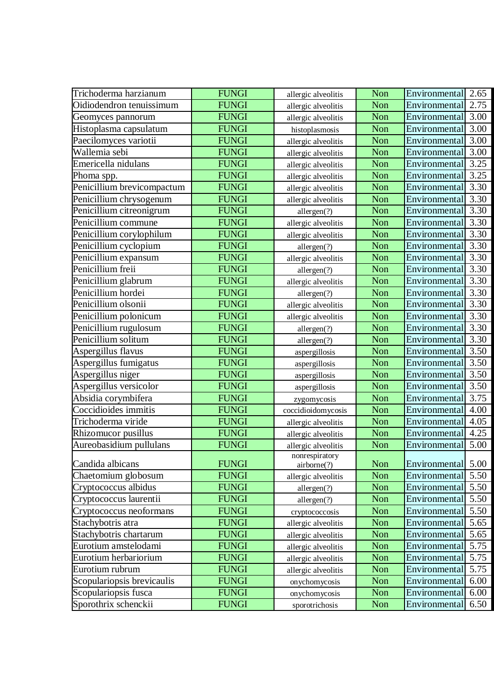| Trichoderma harzianum      | <b>FUNGI</b> | allergic alveolitis           | Non | Environmental 2.65 |      |
|----------------------------|--------------|-------------------------------|-----|--------------------|------|
| Oidiodendron tenuissimum   | <b>FUNGI</b> | allergic alveolitis           | Non | Environmental      | 2.75 |
| Geomyces pannorum          | <b>FUNGI</b> | allergic alveolitis           | Non | Environmental      | 3.00 |
| Histoplasma capsulatum     | <b>FUNGI</b> | histoplasmosis                | Non | Environmental      | 3.00 |
| Paecilomyces variotii      | <b>FUNGI</b> | allergic alveolitis           | Non | Environmental 3.00 |      |
| Wallemia sebi              | <b>FUNGI</b> | allergic alveolitis           | Non | Environmental      | 3.00 |
| Emericella nidulans        | <b>FUNGI</b> | allergic alveolitis           | Non | Environmental      | 3.25 |
| Phoma spp.                 | <b>FUNGI</b> | allergic alveolitis           | Non | Environmental      | 3.25 |
| Penicillium brevicompactum | <b>FUNGI</b> | allergic alveolitis           | Non | Environmental      | 3.30 |
| Penicillium chrysogenum    | <b>FUNGI</b> | allergic alveolitis           | Non | Environmental      | 3.30 |
| Penicillium citreonigrum   | <b>FUNGI</b> | allergen(?)                   | Non | Environmental 3.30 |      |
| Penicillium commune        | <b>FUNGI</b> | allergic alveolitis           | Non | Environmental      | 3.30 |
| Penicillium corylophilum   | <b>FUNGI</b> | allergic alveolitis           | Non | Environmental      | 3.30 |
| Penicillium cyclopium      | <b>FUNGI</b> | allergen(?)                   | Non | Environmental      | 3.30 |
| Penicillium expansum       | <b>FUNGI</b> | allergic alveolitis           | Non | Environmental      | 3.30 |
| Penicillium freii          | <b>FUNGI</b> | allergen(?)                   | Non | Environmental      | 3.30 |
| Penicillium glabrum        | <b>FUNGI</b> | allergic alveolitis           | Non | Environmental      | 3.30 |
| Penicillium hordei         | <b>FUNGI</b> | allergen(?)                   | Non | Environmental      | 3.30 |
| Penicillium olsonii        | <b>FUNGI</b> | allergic alveolitis           | Non | Environmental      | 3.30 |
| Penicillium polonicum      | <b>FUNGI</b> | allergic alveolitis           | Non | Environmental      | 3.30 |
| Penicillium rugulosum      | <b>FUNGI</b> | allergen(?)                   | Non | Environmental      | 3.30 |
| Penicillium solitum        | <b>FUNGI</b> | allergen(?)                   | Non | Environmental      | 3.30 |
| Aspergillus flavus         | <b>FUNGI</b> | aspergillosis                 | Non | Environmental      | 3.50 |
| Aspergillus fumigatus      | <b>FUNGI</b> | aspergillosis                 | Non | Environmental      | 3.50 |
| Aspergillus niger          | <b>FUNGI</b> | aspergillosis                 | Non | Environmental      | 3.50 |
| Aspergillus versicolor     | <b>FUNGI</b> | aspergillosis                 | Non | Environmental      | 3.50 |
| Absidia corymbifera        | <b>FUNGI</b> | zygomycosis                   | Non | Environmental      | 3.75 |
| Coccidioides immitis       | <b>FUNGI</b> | coccidioidomycosis            | Non | Environmental      | 4.00 |
| Trichoderma viride         | <b>FUNGI</b> | allergic alveolitis           | Non | Environmental      | 4.05 |
| Rhizomucor pusillus        | <b>FUNGI</b> | allergic alveolitis           | Non | Environmental      | 4.25 |
| Aureobasidium pullulans    | <b>FUNGI</b> | allergic alveolitis           | Non | Environmental      | 5.00 |
| Candida albicans           | <b>FUNGI</b> | nonrespiratory<br>airborne(?) | Non | Environmental 5.00 |      |
| Chaetomium globosum        | <b>FUNGI</b> | allergic alveolitis           | Non | Environmental      | 5.50 |
| Cryptococcus albidus       | <b>FUNGI</b> | allergen(?)                   | Non | Environmental 5.50 |      |
| Cryptococcus laurentii     | <b>FUNGI</b> | allergen(?)                   | Non | Environmental      | 5.50 |
| Cryptococcus neoformans    | <b>FUNGI</b> | cryptococcosis                | Non | Environmental      | 5.50 |
| Stachybotris atra          | <b>FUNGI</b> | allergic alveolitis           | Non | Environmental      | 5.65 |
| Stachybotris chartarum     | <b>FUNGI</b> | allergic alveolitis           | Non | Environmental 5.65 |      |
| Eurotium amstelodami       | <b>FUNGI</b> | allergic alveolitis           | Non | Environmental      | 5.75 |
| Eurotium herbariorium      | <b>FUNGI</b> | allergic alveolitis           | Non | Environmental      | 5.75 |
| Eurotium rubrum            | <b>FUNGI</b> | allergic alveolitis           | Non | Environmental      | 5.75 |
| Scopulariopsis brevicaulis | <b>FUNGI</b> | onychomycosis                 | Non | Environmental      | 6.00 |
| Scopulariopsis fusca       | <b>FUNGI</b> | onychomycosis                 | Non | Environmental      | 6.00 |
| Sporothrix schenckii       | <b>FUNGI</b> | sporotrichosis                | Non | Environmental      | 6.50 |